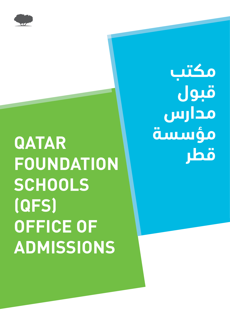

# **QATAR FOUNDATION SCHOOLS (QFS( OFFICE OF ADMISSIONS**

**مكتب قبول مدارس مؤسسة قطر**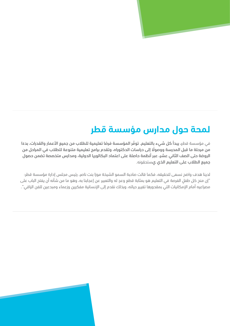# **لمحة حول مدارس مؤسسة قطر**

ًفي مؤسسة قطر، يبدا كل شيء بالتعليم. توفر المؤسسة فرصًا تعليمية للطلاب من جميع الأعمار والقدرات، بدءًا ً֧֦֧֦֧֦֧֦֧֦֧֦֧ׅ֧֦֧ׅ֧ׅ֧֦֧ׅ֧ׅ֧ׅ֧ׅ֧ׅ֧֜֓֓֜֓֜֓֜֓֜֓֜֓֜֓֜֓ حي موسسه الحار، يبت من سيء بالمسيم، لواحر الموسسة الرب المبينية المساحل من جميع المسار والمسارحا بعد.<br>من مرحلة ما قبل المدرسة ووصولًا إلى دراسات الدكتوراه، وتقدم برامج تعليمية متنوعة للطلاب في المراحل من الروضة حتى الصف الثاني عشر، عبر أنظمة حاصلة على اعتماد البكالوريا الدولية، ومدارس متخصصة تضمن حصول جميع الطالب على التعليم الذي يستحقونه.

لدينا هدف واضح نسعى لتحقيقه، فكما قالت صاحبة السمو الشيخة موزا بنت ناصر، رئيس مجلس إدارة مؤسسة قطر: ٍ "إن منح كل طفل ٍ الفرصة في التعليم هو بمثابة قطع وعد له والتعبير عن إعجابنا به، وهو ما من شأنه أن يفتح الباب على مصراعيه أمام اإلمكانيات التي بمقدورها تغيير حياته، وبذلك نقدم إلى اإلنسانية مفكرين وزعماء ومبدعين للفن الراقي".

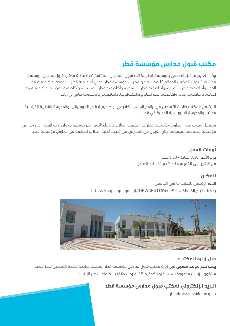## **مكتب قبول مدارس مؤسسة قطر**

<u>َّ</u> وحّد التعليم ما قبل الجامعي بمؤسسة قطر مكاتب قبول المدارس المختلفة تحت مظلة مكتب قبول مدارس مؤسسة <u>َّ</u> قطر، حيث يمثل المكتب الموحّد 11 مدرسة من مدارس مؤسسة قطر، وهي اكاديمية قطر – الدوحة، واكاديمية قطر – الخور، وأكاديمية قطر – الوكرة، وأكاديمية قطر – السدرة، وأكاديمية قطر – مشيرب، وأكاديمية العوسج، وأكاديمية قطر للقادة، وأكاديمية ريناد، وأكاديمية قطر للعلوم والتكنولوجيا، وأكاديميتي، ومدرسة طارق بن زياد.

ال يشمل المكتب طلبات التسجيل في برنامج الجسر األكاديمي، وأكاديمية قطر للموسيقى، والمدرسة القطرية الفرنسية فولتير، والمدرسة السويسرية الدولية في قطر.

سيعمل مكتب قبول مدارس مؤسسة قطر على تعريف الطلاب وأولياء الأمور بآخر مستجدات وإجراءات القبول في مدارس مؤسسة قطر، كما سيساعد لجان القبول في المدارس في تحديد أهلية الطالب للدراسة في مدارس مؤسسة قطر.

## **أوقات العمل**

ًيوم الآحد: 8:30 صباحًا - 3:30 عصرًا ًًمن الإثنين إلى الخميس: 7:30 صباحًا – 3:30 عصرًا ً

## **المكان**

المقر الرئيسي للتعليم ما قبل الجامعي. يمكنك اتباع الخريطة هنا: 9TfiYcnb1iNKWCKti/gl.goo.app.maps://https



## **قبل زيارة المكتب:**

**يجب حجز موعد مسبق** قبل زيارة مكتب قبول مدارس مؤسسة قطر. يمكنك مراجعة صفحة التسجيل لحجز موعد. ًستكون الزيارات محدودة بسبب قيود كوفيد-19، ونرحب دائمًا بالاجتماعات عبر الإنترنت.

**البريد اإللكتروني لمكتب قبول مدارس مؤسسة قطر:**

qfsadmissions@qf.org.qa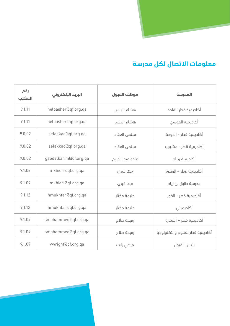

## **معلومات االتصال لكل مدرسة**

| رقم<br>المكتب | البريد الإلكتروني     | موظف القبول     | المدرسة                          |  |
|---------------|-----------------------|-----------------|----------------------------------|--|
| 9.1.11        | helbasher@qf.org.qa   | هشام البشير     | أكاديمية قطر للقادة              |  |
| 9.1.11        | helbasher@qf.org.qa   | هشام البشير     | أكاديمية العوسج                  |  |
| 9.0.02        | selakkad@qf.org.ga    | سلمى العقاد     | أكاديمية قطر - الدوحة            |  |
| 9.0.02        | selakkad@qf.org.qa    | سلمي العقاد     | أكاديمية قطر - مشيرب             |  |
| 9.0.02        | gabdelkarim@qf.org.qa | غادة عبد الكريم | أكاديمية ريناد                   |  |
| 9.1.07        | mkhieri@qf.org.qa     | مها خیری        | أكاديمية قطر – الوكرة            |  |
| 9.1.07        | mkhieri@qf.org.qa     | مها خیری        | مدرسة طارق بن زياد               |  |
| 9.1.12        | hmukhtar@qf.org.qa    | حليمة مختار     | أكاديمية قطر - الخور             |  |
| 9.1.12        | hmukhtar@qf.org.qa    | حليمة مختار     | أكاديميتي                        |  |
| 9.1.07        | smohammed@qf.org.qa   | رفيدة صلاح      | أكاديمية قطر – السدرة            |  |
| 9.1.07        | smohammed@qf.org.qa   | رفيدة صلاح      | أكاديمية قطر للعلوم والتكنولوجيا |  |
| 9.1.09        | vwright@qf.org.qa     | فيكي رايت       | رئيس القبول                      |  |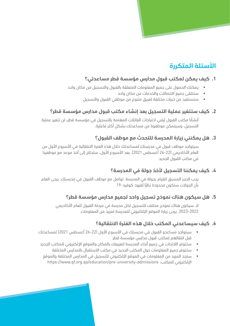## **األسئلة المتكررة**

## **.1 كيف يمكن لمكتب قبول مدارس مؤسسة قطر مساعدتي؟**

- يمكنك الحصول على جميع المعلومات المتعلقة بالقبول والتسجيل من مكان واحد
	- ستتلقى جميع االتصاالت والخدمات من مكان واحد
	- ستستفيد من خبرات مختلفة لفريق متنوع من موظفي القبول والتسجيل

## **.٢ كيف ستتغير عملية التسجيل بعد إنشاء مكتب قبول مدارس مؤسسة قطر؟**

أنشأنا مكتب القبول ليلبي احتياجات العائالت المهتمة بالتسجيل في مؤسسة قطر، لن تتغير عملية التسجيل، وسيتمكن موظفونا من مساعدتك بشكل أكثر فاعلية.

## **.٣ هل يمكنني زيارة المدرسة للتحدث مع موظف القبول؟**

سيتواجد موظف قبول في مدرستك لمساعدتك خلال هذه الفترة الانتقالية في الأسبوع الأول من العام الأكاديمي (22-26 أغسطس 2021). بعد الأسبوع الأول، ستحتاج إلى أخذ موعد مع موظفينا في مكتب القبول الجديد.

## **.4 كيف يمكننا التسجيل ألخذ جولة في المدرسة؟**

يجب الحجز المسبق للقيام بجولة في المدرسة. تواصل مع موظف القبول في مدرستك. يرجى العلم ًبان الجولات ستكون محدودة نظرًا لقيود كوفيد-19.

## **.5 هل سيكون هناك نموذج تسجيل واحد لجميع مدارس مؤسسة قطر؟**

ال، سيكون هناك نموذج مختلف للتسجيل لكل مدرسة في مرحلة القبول للعام األكاديمي 2022-2023. يرجى زيارة الموقع الإلكتروني للمدرسة لمزيد من المعلومات.

## **.6 كيف سيساعدني المكتب خالل هذه الفترة االنتقالية؟**

- سيتواجد مساعدو القبول في مدرستك في الأسبوع الأول (22-26 أغسطس 2021) لمساعدتك قبل انتقالهم لمكتب قبول مدارس مؤسسة قطر
- ستتوفر اللائحات في جميع أنحاء المدرسة لتعريفك بالمكان والموقع الإلكتروني للمكتب الجديد
	- ستتوفر جميع المعلومات حول المكتب الجديد في مكتب االستقبال بالمدارس المختلفة
	- ستحد المزيد من المعلومات في الموقع الالكتروني للتسجيل في المدارس المختلفة والموقع اإللكتروني للمكتب: admissions-university-pre/education/qa.org.qf.www://https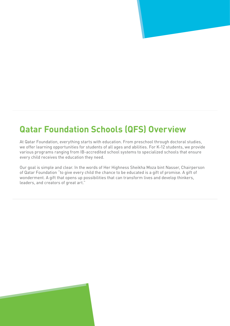## **Qatar Foundation Schools (QFS) Overview**

At Qatar Foundation, everything starts with education. From preschool through doctoral studies, we offer learning opportunities for students of all ages and abilities. For K-12 students, we provide various programs ranging from IB-accredited school systems to specialized schools that ensure every child receives the education they need.

Our goal is simple and clear. In the words of Her Highness Sheikha Moza bint Nasser, Chairperson of Qatar Foundation "to give every child the chance to be educated is a gift of promise. A gift of wonderment. A gift that opens up possibilities that can transform lives and develop thinkers, leaders, and creators of great art."

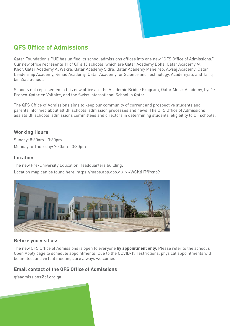## **Admissions**

Qatar Foundation's PUE has unified its school admissions offices into one new "QFS Office of Admissions." Our new office represents 11 of QF's 15 schools, which are Qatar Academy Doha, Qatar Academy Al Khor, Qatar Academy Al Wakra, Qatar Academy Sidra, Qatar Academy Msheireb, Awsaj Academy, Qatar Leadership Academy, Renad Academy, Qatar Academy for Science and Technology, Academyati, and Tariq hin Ziad School

Schools not represented in this new office are the Academic Bridge Program, Qatar Music Academy, Lycée Franco-Qatarien Voltaire, and the Swiss International School in Qatar.

The QFS Office of Admissions aims to keep our community of current and prospective students and parents informed about all QF schools' admission processes and news. The QFS Office of Admissions assists QF schools' admissions committees and directors in determining students' eligibility to QF schools.

#### **Working Hours**

Sunday: 8:30 am - 3:30 pm Monday to Thursday: 7:30 am - 3:30 pm

#### **Location**

The new Pre-University Education Headquarters building. Location map can be found here: https://maps.app.goo.gl/iNKWCKti1TfiYcnb9



## **Before you visit us:**

The new QFS Office of Admissions is open to everyone by appointment only. Please refer to the school's Open Apply page to schedule appointments. Due to the COVID-19 restrictions, physical appointments will be limited, and virtual meetings are always welcomed.

## **Email contact of the QFS Office of Admissions**

qfsadmissions@qf.org.qa

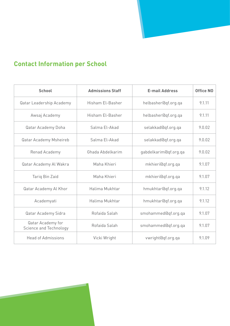## **Contact Information per School**

| <b>School</b>                               | <b>Admissions Staff</b> | <b>E-mail Address</b> | <b>Office NO</b> |
|---------------------------------------------|-------------------------|-----------------------|------------------|
| Qatar Leadership Academy                    | Hisham El-Basher        | helbasher@qf.org.qa   | 9.1.11           |
| Awsaj Academy                               | Hisham El-Basher        | helbasher@qf.org.ga   | 9.1.11           |
| Qatar Academy Doha                          | Salma El-Akad           | selakkad@qf.org.ga    | 9.0.02           |
| Qatar Academy Msheireb                      | Salma El-Akad           | selakkad@qf.org.qa    | 9.0.02           |
| Renad Academy                               | Ghada Abdelkarim        | gabdelkarim@qf.org.qa | 9.0.02           |
| Qatar Academy Al Wakra                      | Maha Khieri             | mkhieri@qf.org.ga     | 9.1.07           |
| Tariq Bin Zaid                              | Maha Khieri             | mkhieri@qf.org.qa     | 9.1.07           |
| Qatar Academy Al Khor                       | Halima Mukhtar          | hmukhtar@qf.org.ga    | 9.1.12           |
| Academyati                                  | Halima Mukhtar          | hmukhtar@qf.org.ga    | 9.1.12           |
| Qatar Academy Sidra                         | Rofaida Salah           | smohammed@qf.org.qa   | 9.1.07           |
| Qatar Academy for<br>Science and Technology | Rofaida Salah           | smohammed@qf.org.qa   | 9.1.07           |
| <b>Head of Admissions</b>                   | Vicki Wright            | vwright@qf.org.qa     | 9.1.09           |